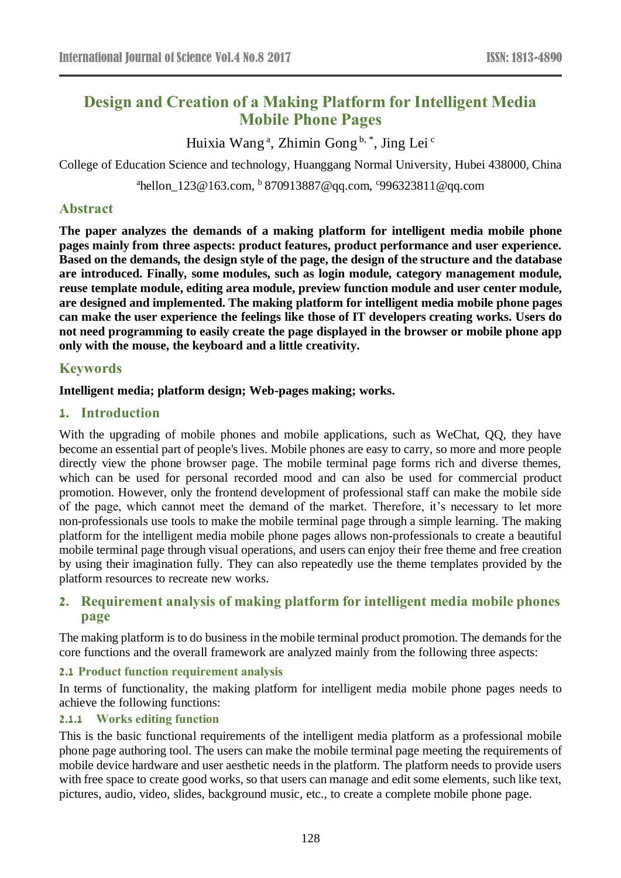# **Design and Creation of a Making Platform for Intelligent Media Mobile Phone Pages**

Huixia Wang<sup>a</sup>, Zhimin Gong<sup>b,\*</sup>, Jing Lei<sup>c</sup>

College of Education Science and technology, Huanggang Normal University, Hubei 438000, China

<sup>a</sup>hellon\_123@163.com, <sup>b</sup> 870913887@qq.com, <sup>c</sup>996323811@qq.com

# **Abstract**

**The paper analyzes the demands of a making platform for intelligent media mobile phone pages mainly from three aspects: product features, product performance and user experience. Based on the demands, the design style of the page, the design of the structure and the database are introduced. Finally, some modules, such as login module, category management module, reuse template module, editing area module, preview function module and user center module, are designed and implemented. The making platform for intelligent media mobile phone pages can make the user experience the feelings like those of IT developers creating works. Users do not need programming to easily create the page displayed in the browser or mobile phone app only with the mouse, the keyboard and a little creativity.**

### **Keywords**

**Intelligent media; platform design; Web-pages making; works.** 

### **1. Introduction**

With the upgrading of mobile phones and mobile applications, such as WeChat, QQ, they have become an essential part of people's lives. Mobile phones are easy to carry, so more and more people directly view the phone browser page. The mobile terminal page forms rich and diverse themes, which can be used for personal recorded mood and can also be used for commercial product promotion. However, only the frontend development of professional staff can make the mobile side of the page, which cannot meet the demand of the market. Therefore, it's necessary to let more non-professionals use tools to make the mobile terminal page through a simple learning. The making platform for the intelligent media mobile phone pages allows non-professionals to create a beautiful mobile terminal page through visual operations, and users can enjoy their free theme and free creation by using their imagination fully. They can also repeatedly use the theme templates provided by the platform resources to recreate new works.

# **2. Requirement analysis of making platform for intelligent media mobile phones page**

The making platform is to do business in the mobile terminal product promotion. The demands for the core functions and the overall framework are analyzed mainly from the following three aspects:

### **2.1 Product function requirement analysis**

In terms of functionality, the making platform for intelligent media mobile phone pages needs to achieve the following functions:

### **2.1.1 Works editing function**

This is the basic functional requirements of the intelligent media platform as a professional mobile phone page authoring tool. The users can make the mobile terminal page meeting the requirements of mobile device hardware and user aesthetic needs in the platform. The platform needs to provide users with free space to create good works, so that users can manage and edit some elements, such like text, pictures, audio, video, slides, background music, etc., to create a complete mobile phone page.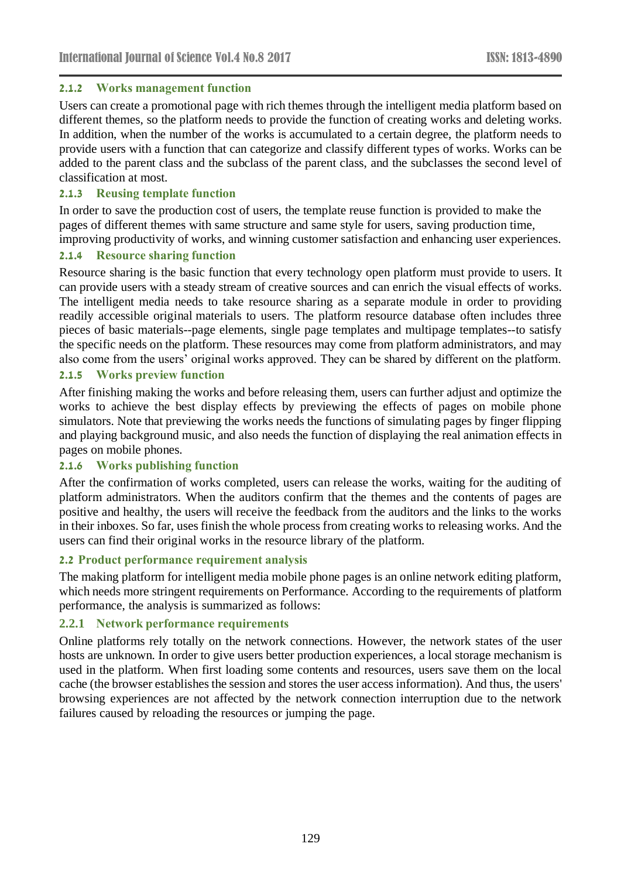### **2.1.2 Works management function**

Users can create a promotional page with rich themes through the intelligent media platform based on different themes, so the platform needs to provide the function of creating works and deleting works. In addition, when the number of the works is accumulated to a certain degree, the platform needs to provide users with a function that can categorize and classify different types of works. Works can be added to the parent class and the subclass of the parent class, and the subclasses the second level of classification at most.

### **2.1.3 Reusing template function**

In order to save the production cost of users, the template reuse function is provided to make the pages of different themes with same structure and same style for users, saving production time, improving productivity of works, and winning customer satisfaction and enhancing user experiences.

### **2.1.4 Resource sharing function**

Resource sharing is the basic function that every technology open platform must provide to users. It can provide users with a steady stream of creative sources and can enrich the visual effects of works. The intelligent media needs to take resource sharing as a separate module in order to providing readily accessible original materials to users. The platform resource database often includes three pieces of basic materials--page elements, single page templates and multipage templates--to satisfy the specific needs on the platform. These resources may come from platform administrators, and may also come from the users' original works approved. They can be shared by different on the platform.

### **2.1.5 Works preview function**

After finishing making the works and before releasing them, users can further adjust and optimize the works to achieve the best display effects by previewing the effects of pages on mobile phone simulators. Note that previewing the works needs the functions of simulating pages by finger flipping and playing background music, and also needs the function of displaying the real animation effects in pages on mobile phones.

# **2.1.6 Works publishing function**

After the confirmation of works completed, users can release the works, waiting for the auditing of platform administrators. When the auditors confirm that the themes and the contents of pages are positive and healthy, the users will receive the feedback from the auditors and the links to the works in their inboxes. So far, uses finish the whole process from creating works to releasing works. And the users can find their original works in the resource library of the platform.

### **2.2 Product performance requirement analysis**

The making platform for intelligent media mobile phone pages is an online network editing platform, which needs more stringent requirements on Performance. According to the requirements of platform performance, the analysis is summarized as follows:

### **2.2.1 Network performance requirements**

Online platforms rely totally on the network connections. However, the network states of the user hosts are unknown. In order to give users better production experiences, a local storage mechanism is used in the platform. When first loading some contents and resources, users save them on the local cache (the browser establishes the session and stores the user access information). And thus, the users' browsing experiences are not affected by the network connection interruption due to the network failures caused by reloading the resources or jumping the page.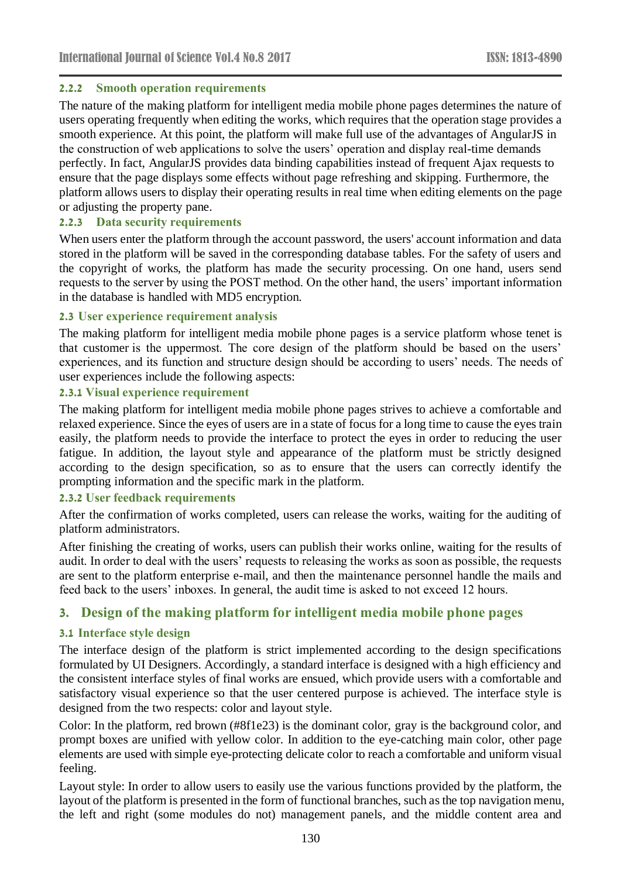### **2.2.2 Smooth operation requirements**

The nature of the making platform for intelligent media mobile phone pages determines the nature of users operating frequently when editing the works, which requires that the operation stage provides a smooth experience. At this point, the platform will make full use of the advantages of AngularJS in the construction of web applications to solve the users' operation and display real-time demands perfectly. In fact, AngularJS provides data binding capabilities instead of frequent Ajax requests to ensure that the page displays some effects without page refreshing and skipping. Furthermore, the platform allows users to display their operating results in real time when editing elements on the page or adjusting the property pane.

### **2.2.3 Data security requirements**

When users enter the platform through the account password, the users' account information and data stored in the platform will be saved in the corresponding database tables. For the safety of users and the copyright of works, the platform has made the security processing. On one hand, users send requests to the server by using the POST method. On the other hand, the users' important information in the database is handled with MD5 encryption.

### **2.3 User experience requirement analysis**

The making platform for intelligent media mobile phone pages is a service platform whose tenet is that customer is the uppermost. The core design of the platform should be based on the users' experiences, and its function and structure design should be according to users' needs. The needs of user experiences include the following aspects:

### **2.3.1 Visual experience requirement**

The making platform for intelligent media mobile phone pages strives to achieve a comfortable and relaxed experience. Since the eyes of users are in a state of focus for a long time to cause the eyes train easily, the platform needs to provide the interface to protect the eyes in order to reducing the user fatigue. In addition, the layout style and appearance of the platform must be strictly designed according to the design specification, so as to ensure that the users can correctly identify the prompting information and the specific mark in the platform.

# **2.3.2 User feedback requirements**

After the confirmation of works completed, users can release the works, waiting for the auditing of platform administrators.

After finishing the creating of works, users can publish their works online, waiting for the results of audit. In order to deal with the users' requests to releasing the works as soon as possible, the requests are sent to the platform enterprise e-mail, and then the maintenance personnel handle the mails and feed back to the users' inboxes. In general, the audit time is asked to not exceed 12 hours.

# **3. Design of the making platform for intelligent media mobile phone pages**

### **3.1 Interface style design**

The interface design of the platform is strict implemented according to the design specifications formulated by UI Designers. Accordingly, a standard interface is designed with a high efficiency and the consistent interface styles of final works are ensued, which provide users with a comfortable and satisfactory visual experience so that the user centered purpose is achieved. The interface style is designed from the two respects: color and layout style.

Color: In the platform, red brown (#8f1e23) is the dominant color, gray is the background color, and prompt boxes are unified with yellow color. In addition to the eye-catching main color, other page elements are used with simple eye-protecting delicate color to reach a comfortable and uniform visual feeling.

Layout style: In order to allow users to easily use the various functions provided by the platform, the layout of the platform is presented in the form of functional branches, such as the top navigation menu, the left and right (some modules do not) management panels, and the middle content area and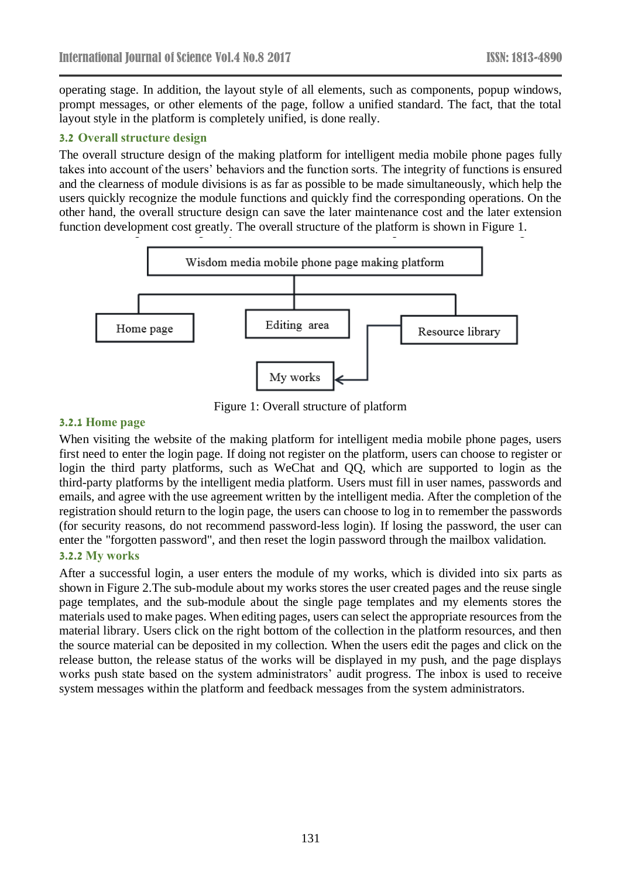operating stage. In addition, the layout style of all elements, such as components, popup windows, prompt messages, or other elements of the page, follow a unified standard. The fact, that the total layout style in the platform is completely unified, is done really.

### **3.2 Overall structure design**

The overall structure design of the making platform for intelligent media mobile phone pages fully takes into account of the users' behaviors and the function sorts. The integrity of functions is ensured and the clearness of module divisions is as far as possible to be made simultaneously, which help the users quickly recognize the module functions and quickly find the corresponding operations. On the other hand, the overall structure design can save the later maintenance cost and the later extension function development cost greatly. The overall structure of the platform is shown in Figure 1.



Figure 1: Overall structure of platform

#### **3.2.1 Home page**

When visiting the website of the making platform for intelligent media mobile phone pages, users first need to enter the login page. If doing not register on the platform, users can choose to register or login the third party platforms, such as WeChat and QQ, which are supported to login as the third-party platforms by the intelligent media platform. Users must fill in user names, passwords and emails, and agree with the use agreement written by the intelligent media. After the completion of the registration should return to the login page, the users can choose to log in to remember the passwords (for security reasons, do not recommend password-less login). If losing the password, the user can enter the "forgotten password", and then reset the login password through the mailbox validation.

# **3.2.2 My works**

After a successful login, a user enters the module of my works, which is divided into six parts as shown in Figure 2.The sub-module about my works stores the user created pages and the reuse single page templates, and the sub-module about the single page templates and my elements stores the materials used to make pages. When editing pages, users can select the appropriate resources from the material library. Users click on the right bottom of the collection in the platform resources, and then the source material can be deposited in my collection. When the users edit the pages and click on the release button, the release status of the works will be displayed in my push, and the page displays works push state based on the system administrators' audit progress. The inbox is used to receive system messages within the platform and feedback messages from the system administrators.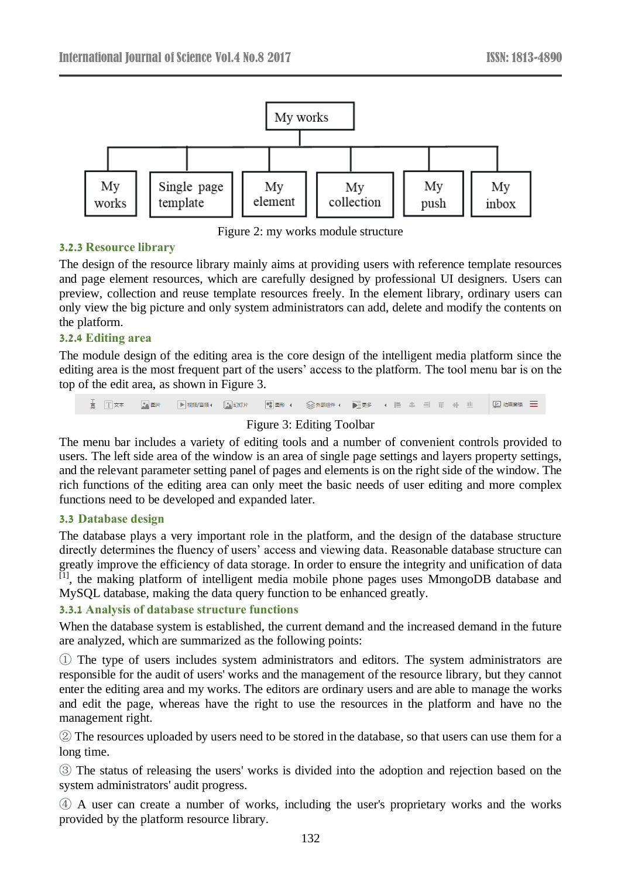

Figure 2: my works module structure

# **3.2.3 Resource library**

The design of the resource library mainly aims at providing users with reference template resources and page element resources, which are carefully designed by professional UI designers. Users can preview, collection and reuse template resources freely. In the element library, ordinary users can only view the big picture and only system administrators can add, delete and modify the contents on the platform.

### **3.2.4 Editing area**

The module design of the editing area is the core design of the intelligent media platform since the editing area is the most frequent part of the users' access to the platform. The tool menu bar is on the top of the edit area, as shown in Figure 3.



# Figure 3: Editing Toolbar

The menu bar includes a variety of editing tools and a number of convenient controls provided to users. The left side area of the window is an area of single page settings and layers property settings, and the relevant parameter setting panel of pages and elements is on the right side of the window. The rich functions of the editing area can only meet the basic needs of user editing and more complex functions need to be developed and expanded later.

### **3.3 Database design**

The database plays a very important role in the platform, and the design of the database structure directly determines the fluency of users' access and viewing data. Reasonable database structure can greatly improve the efficiency of data storage. In order to ensure the integrity and unification of data [1], the making platform of intelligent media mobile phone pages uses MmongoDB database and MySQL database, making the data query function to be enhanced greatly.

# **3.3.1 Analysis of database structure functions**

When the database system is established, the current demand and the increased demand in the future are analyzed, which are summarized as the following points:

① The type of users includes system administrators and editors. The system administrators are responsible for the audit of users' works and the management of the resource library, but they cannot enter the editing area and my works. The editors are ordinary users and are able to manage the works and edit the page, whereas have the right to use the resources in the platform and have no the management right.

② The resources uploaded by users need to be stored in the database, so that users can use them for a long time.

③ The status of releasing the users' works is divided into the adoption and rejection based on the system administrators' audit progress.

④ A user can create a number of works, including the user's proprietary works and the works provided by the platform resource library.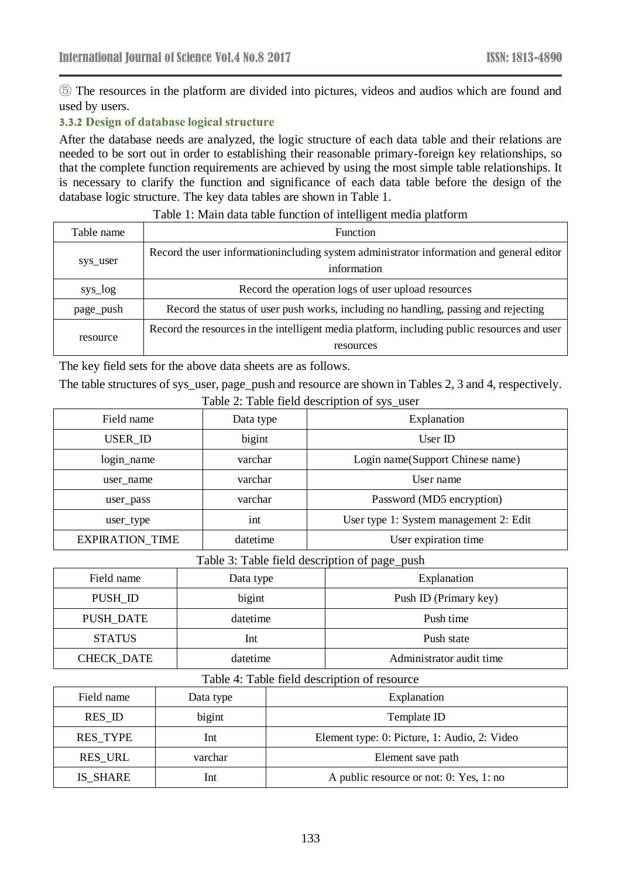⑤ The resources in the platform are divided into pictures, videos and audios which are found and used by users.

# **3.3.2 Design of database logical structure**

After the database needs are analyzed, the logic structure of each data table and their relations are needed to be sort out in order to establishing their reasonable primary-foreign key relationships, so that the complete function requirements are achieved by using the most simple table relationships. It is necessary to clarify the function and significance of each data table before the design of the database logic structure. The key data tables are shown in Table 1.

| Table name | <b>Function</b>                                                                                          |
|------------|----------------------------------------------------------------------------------------------------------|
| sys_user   | Record the user information including system administrator information and general editor<br>information |
| sys_log    | Record the operation logs of user upload resources                                                       |
| page_push  | Record the status of user push works, including no handling, passing and rejecting                       |
| resource   | Record the resources in the intelligent media platform, including public resources and user<br>resources |

#### Table 1: Main data table function of intelligent media platform

The key field sets for the above data sheets are as follows.

The table structures of sys\_user, page\_push and resource are shown in Tables 2, 3 and 4, respectively.

| Field name             | Data type | Explanation                            |  |
|------------------------|-----------|----------------------------------------|--|
| USER_ID                | bigint    | User $ID$                              |  |
| login_name             | varchar   | Login name(Support Chinese name)       |  |
| user name              | varchar   | User name                              |  |
| user_pass              | varchar   | Password (MD5 encryption)              |  |
| user_type              | int       | User type 1: System management 2: Edit |  |
| <b>EXPIRATION TIME</b> | datetime  | User expiration time                   |  |

#### Table 2: Table field description of sys\_user

### Table 3: Table field description of page\_push

| Field name        | Data type | Explanation              |
|-------------------|-----------|--------------------------|
| PUSH_ID           | bigint    | Push ID (Primary key)    |
| <b>PUSH DATE</b>  | datetime  | Push time                |
| <b>STATUS</b>     | Int       | Push state               |
| <b>CHECK DATE</b> | datetime  | Administrator audit time |

#### Table 4: Table field description of resource

| Data type | Explanation                                  |  |
|-----------|----------------------------------------------|--|
| bigint    | Template ID                                  |  |
| Int       | Element type: 0: Picture, 1: Audio, 2: Video |  |
| varchar   | Element save path                            |  |
| Int       | A public resource or not: 0: Yes, 1: no      |  |
|           |                                              |  |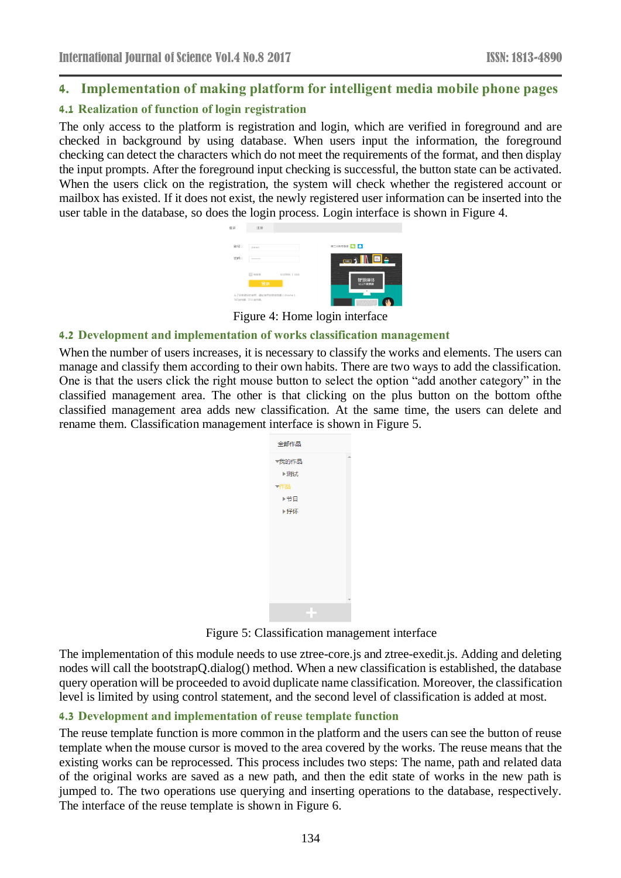# **4. Implementation of making platform for intelligent media mobile phone pages**

### **4.1 Realization of function of login registration**

The only access to the platform is registration and login, which are verified in foreground and are checked in background by using database. When users input the information, the foreground checking can detect the characters which do not meet the requirements of the format, and then display the input prompts. After the foreground input checking is successful, the button state can be activated. When the users click on the registration, the system will check whether the registered account or mailbox has existed. If it does not exist, the newly registered user information can be inserted into the user table in the database, so does the login process. Login interface is shown in Figure 4.



Figure 4: Home login interface

#### **4.2 Development and implementation of works classification management**

When the number of users increases, it is necessary to classify the works and elements. The users can manage and classify them according to their own habits. There are two ways to add the classification. One is that the users click the right mouse button to select the option "add another category" in the classified management area. The other is that clicking on the plus button on the bottom ofthe classified management area adds new classification. At the same time, the users can delete and rename them. Classification management interface is shown in Figure 5.



Figure 5: Classification management interface

The implementation of this module needs to use ztree-core.js and ztree-exedit.js. Adding and deleting nodes will call the bootstrapQ.dialog() method. When a new classification is established, the database query operation will be proceeded to avoid duplicate name classification. Moreover, the classification level is limited by using control statement, and the second level of classification is added at most.

### **4.3 Development and implementation of reuse template function**

The reuse template function is more common in the platform and the users can see the button of reuse template when the mouse cursor is moved to the area covered by the works. The reuse means that the existing works can be reprocessed. This process includes two steps: The name, path and related data of the original works are saved as a new path, and then the edit state of works in the new path is jumped to. The two operations use querying and inserting operations to the database, respectively. The interface of the reuse template is shown in Figure 6.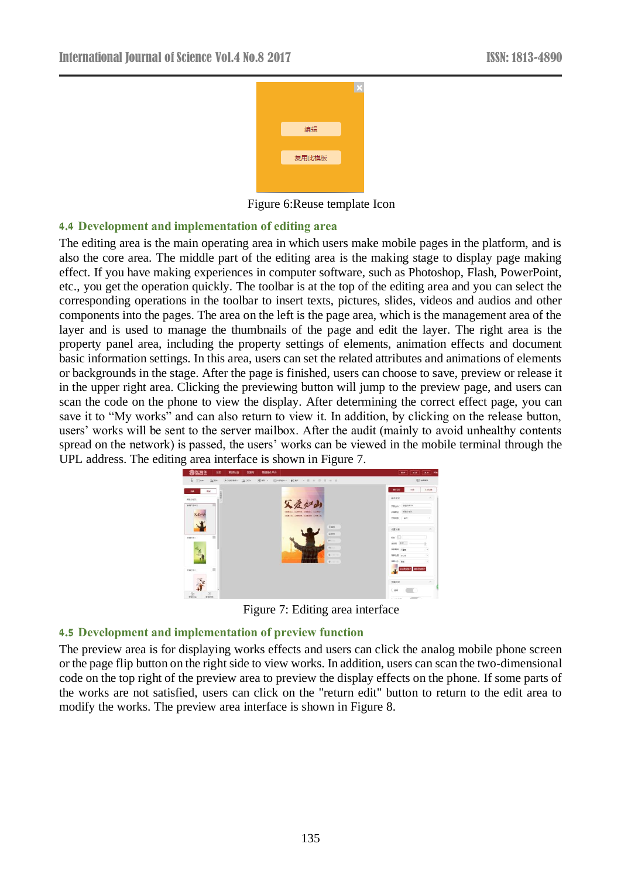

Figure 6:Reuse template Icon

# **4.4 Development and implementation of editing area**

The editing area is the main operating area in which users make mobile pages in the platform, and is also the core area. The middle part of the editing area is the making stage to display page making effect. If you have making experiences in computer software, such as Photoshop, Flash, PowerPoint, etc., you get the operation quickly. The toolbar is at the top of the editing area and you can select the corresponding operations in the toolbar to insert texts, pictures, slides, videos and audios and other components into the pages. The area on the left is the page area, which is the management area of the layer and is used to manage the thumbnails of the page and edit the layer. The right area is the property panel area, including the property settings of elements, animation effects and document basic information settings. In this area, users can set the related attributes and animations of elements or backgrounds in the stage. After the page is finished, users can choose to save, preview or release it in the upper right area. Clicking the previewing button will jump to the preview page, and users can scan the code on the phone to view the display. After determining the correct effect page, you can save it to "My works" and can also return to view it. In addition, by clicking on the release button, users' works will be sent to the server mailbox. After the audit (mainly to avoid unhealthy contents spread on the network) is passed, the users' works can be viewed in the mobile terminal through the UPL address. The editing area interface is shown in Figure 7.



Figure 7: Editing area interface

# **4.5 Development and implementation of preview function**

The preview area is for displaying works effects and users can click the analog mobile phone screen or the page flip button on the right side to view works. In addition, users can scan the two-dimensional code on the top right of the preview area to preview the display effects on the phone. If some parts of the works are not satisfied, users can click on the "return edit" button to return to the edit area to modify the works. The preview area interface is shown in Figure 8.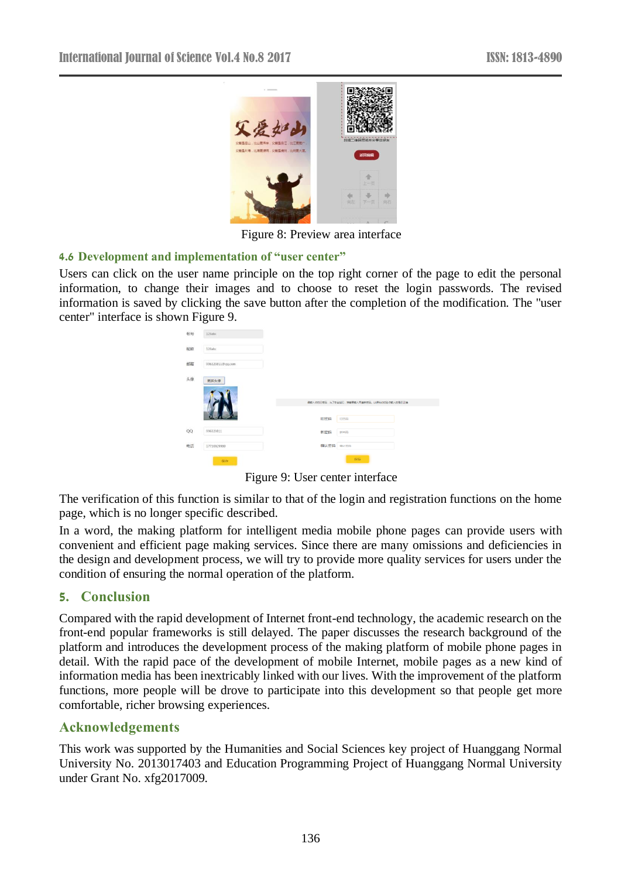

Figure 8: Preview area interface

### **4.6 Development and implementation of "user center"**

Users can click on the user name principle on the top right corner of the page to edit the personal information, to change their images and to choose to reset the login passwords. The revised information is saved by clicking the save button after the completion of the modification. The "user center" interface is shown Figure 9.

|    | ັ                |             |                                           |  |
|----|------------------|-------------|-------------------------------------------|--|
| 帐号 | 123abc           |             |                                           |  |
| 昵称 | 123abc           |             |                                           |  |
| 邮箱 | 996323811@qq.com |             |                                           |  |
| 头像 | 更换头像             |             |                                           |  |
|    |                  |             | 调输入你的旧密码,为了安全经见,接着要输入两遍新密码。以便我们结验你输入的是否正确 |  |
|    |                  | 旧密码         | 旧密码                                       |  |
| QQ | 996323811        | 新密码         | 無害码                                       |  |
| 电话 | 17710929980      | 确认密码 @ULEES |                                           |  |
|    | 保存               |             | 保存                                        |  |

Figure 9: User center interface

The verification of this function is similar to that of the login and registration functions on the home page, which is no longer specific described.

In a word, the making platform for intelligent media mobile phone pages can provide users with convenient and efficient page making services. Since there are many omissions and deficiencies in the design and development process, we will try to provide more quality services for users under the condition of ensuring the normal operation of the platform.

### **5. Conclusion**

Compared with the rapid development of Internet front-end technology, the academic research on the front-end popular frameworks is still delayed. The paper discusses the research background of the platform and introduces the development process of the making platform of mobile phone pages in detail. With the rapid pace of the development of mobile Internet, mobile pages as a new kind of information media has been inextricably linked with our lives. With the improvement of the platform functions, more people will be drove to participate into this development so that people get more comfortable, richer browsing experiences.

### **Acknowledgements**

This work was supported by the Humanities and Social Sciences key project of Huanggang Normal University No. 2013017403 and Education Programming Project of Huanggang Normal University under Grant No. xfg2017009.